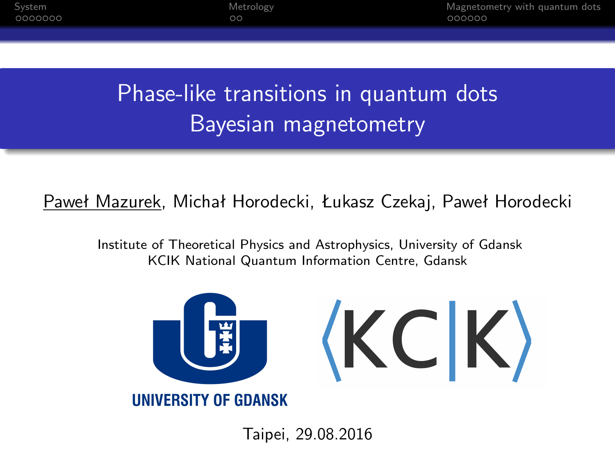0000000

 $\circ$ 

[System](#page-1-0) [Metrology](#page-9-0) [Magnetometry with quantum dots](#page-11-0)

# Phase-like transitions in quantum dots Bayesian magnetometry

Paweł Mazurek, Michał Horodecki, Łukasz Czekaj, Paweł Horodecki

Institute of Theoretical Physics and Astrophysics, University of Gdansk KCIK National Quantum Information Centre, Gdansk



Taipei, 29.08.2016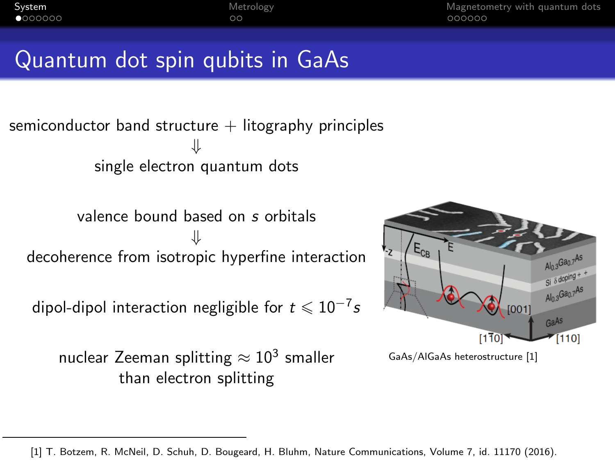<span id="page-1-0"></span>[System](#page-1-0) [Magnetometry with quantum dots](#page-11-0)<br>  $\bullet$ 000000

# Quantum dot spin qubits in GaAs

semiconductor band structure  $+$  litography principles *⇓* single electron quantum dots

valence bound based on s orbitals *⇓* decoherence from isotropic hyperfine interaction

dipol-dipol interaction negligible for  $t \leqslant 10^{-7}$ s

nuclear Zeeman splitting  $\approx 10^3$  smaller than electron splitting



GaAs/AlGaAs heterostructure [1]

<sup>[1]</sup> T. Botzem, R. McNeil, D. Schuh, D. Bougeard, H. Bluhm, Nature Communications, Volume 7, id. 11170 (2016).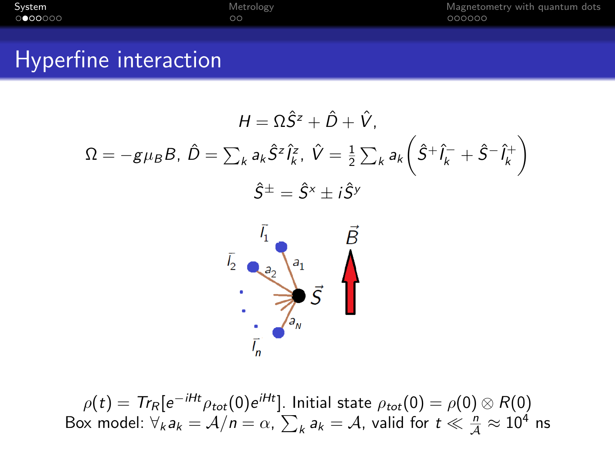[System](#page-1-0) and the [Metrology](#page-9-0) Metrology and [Magnetometry with quantum dots](#page-11-0) on the Magnetometry with quantum dots on  $\circ$  on  $\circ$  on  $\circ$  on  $\circ$  on  $\circ$  on  $\circ$  on  $\circ$  on  $\circ$  on  $\circ$  on  $\circ$  on  $\circ$  on  $\circ$  on  $\circ$  on  $\circ$  on

#### Hyperfine interaction

$$
H = \Omega \hat{S}^z + \hat{D} + \hat{V},
$$
  

$$
\Omega = -g\mu_B B, \ \hat{D} = \sum_k a_k \hat{S}^z \hat{I}_k^z, \ \hat{V} = \frac{1}{2} \sum_k a_k \left( \hat{S}^+ \hat{I}_k^- + \hat{S}^- \hat{I}_k^+ \right)
$$
  

$$
\hat{S}^{\pm} = \hat{S}^x \pm i \hat{S}^y
$$



 $\rho(t) = \textit{Tr}_\mathcal{R}[e^{-iHt} \rho_{tot}(0) e^{iHt}]$ . Initial state  $\rho_{tot}(0) = \rho(0) \otimes \mathcal{R}(0)$ Box model:  $\forall_k a_k = A/n = \alpha$ ,  $\sum_k a_k = A$ , valid for  $t \ll \frac{n}{A} \approx 10^4$  ns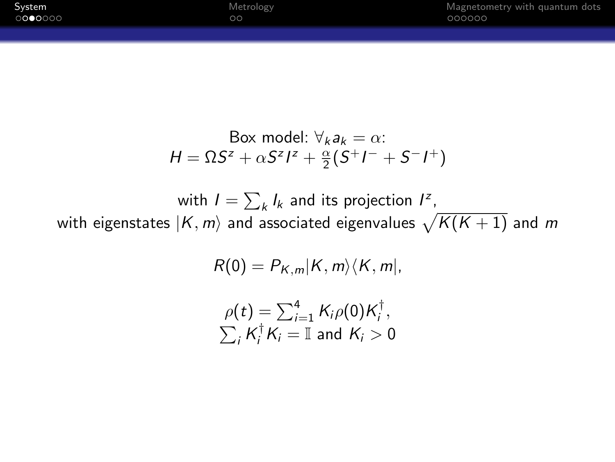| System  | Metrology | Magnetometry with quantum dots |
|---------|-----------|--------------------------------|
| 0000000 | oo        | 000000                         |
|         |           |                                |

Box model: 
$$
\forall_k a_k = \alpha
$$
:  
\n
$$
H = \Omega S^z + \alpha S^z I^z + \frac{\alpha}{2} (S^+ I^- + S^- I^+)
$$

with  $I = \sum_{k} I_k$  and its projection  $I^z$ ,

with eigenstates  $\ket{K,m}$  and associated eigenvalues  $\sqrt{K(K+1)}$  and  $m$ 

$$
R(0)=P_{K,m}|K,m\rangle\langle K,m|,
$$

$$
\rho(t) = \sum_{i=1}^{4} K_i \rho(0) K_i^{\dagger},
$$
  

$$
\sum_i K_i^{\dagger} K_i = \mathbb{I} \text{ and } K_i > 0
$$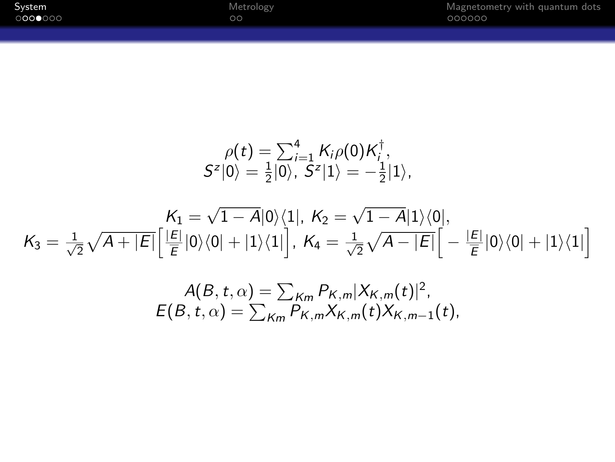| System  | Metrology | Magnetometry with quantum dots |
|---------|-----------|--------------------------------|
| 0000000 | DС        | 000000                         |
|         |           |                                |

$$
\rho(t) = \sum_{i=1}^{4} K_{i}\rho(0) K_{i}^{\dagger},
$$
  
\n
$$
S^{z}|0\rangle = \frac{1}{2}|0\rangle, S^{z}|1\rangle = -\frac{1}{2}|1\rangle,
$$
  
\n
$$
K_{1} = \sqrt{1 - A}|0\rangle\langle 1|, K_{2} = \sqrt{1 - A}|1\rangle\langle 0|,
$$
  
\n
$$
K_{3} = \frac{1}{\sqrt{2}}\sqrt{A + |E|}\left[\frac{|E|}{E}|0\rangle\langle 0| + |1\rangle\langle 1|\right], K_{4} = \frac{1}{\sqrt{2}}\sqrt{A - |E|}\left[-\frac{|E|}{E}|0\rangle\langle 0| + |1\rangle\langle 1|\right]
$$
  
\n
$$
A(B, t, \alpha) = \sum_{K_{m}} P_{K, m}|X_{K, m}(t)|^{2},
$$
  
\n
$$
E(B, t, \alpha) = \sum_{K_{m}} P_{K, m}X_{K, m}(t)X_{K, m-1}(t),
$$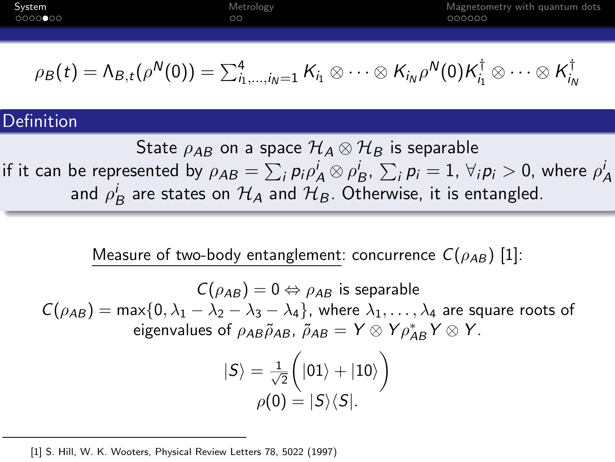| System  | Metrology | Magnetometry with quantum dots |
|---------|-----------|--------------------------------|
| 0000000 | $\circ$   | 000000                         |
|         |           |                                |

$$
\rho_B(t) = \Lambda_{B,t}(\rho^N(0)) = \sum_{i_1,\ldots,i_N=1}^4 K_{i_1} \otimes \cdots \otimes K_{i_N} \rho^N(0) K_{i_1}^{\dagger} \otimes \cdots \otimes K_{i_N}^{\dagger}
$$

#### **Definition**

State  $\rho_{AB}$  on a space  $\mathcal{H}_A\otimes\mathcal{H}_B$  is separable if it can be represented by  $\rho_{AB}=\sum_i p_i \rho_A^i\otimes\rho_B^i$ ,  $\sum_i p_i=1$ ,  $\forall_i p_i>0$ , where  $\rho_A^i$ and  $\rho^i_B$  are states on  $\mathcal{H}_A$  and  $\mathcal{H}_B$ . Otherwise, it is entangled.

Measure of two-body entanglement: concurrence  $C(\rho_{AB})$  [1]:

$$
C(\rho_{AB}) = 0 \Leftrightarrow \rho_{AB} \text{ is separable}
$$
  
\n
$$
C(\rho_{AB}) = \max\{0, \lambda_1 - \lambda_2 - \lambda_3 - \lambda_4\}, \text{ where } \lambda_1, ..., \lambda_4 \text{ are square roots of eigenvalues of } \rho_{AB} \tilde{\rho}_{AB}, \tilde{\rho}_{AB} = Y \otimes Y \rho_{AB}^* Y \otimes Y.
$$
  
\n
$$
|S\rangle = \frac{1}{\sqrt{2}} \left(|01\rangle + |10\rangle\right)
$$
  
\n
$$
\rho(0) = |S\rangle\langle S|.
$$

<sup>[1]</sup> S. Hill, W. K. Wooters, Physical Review Letters 78, 5022 (1997)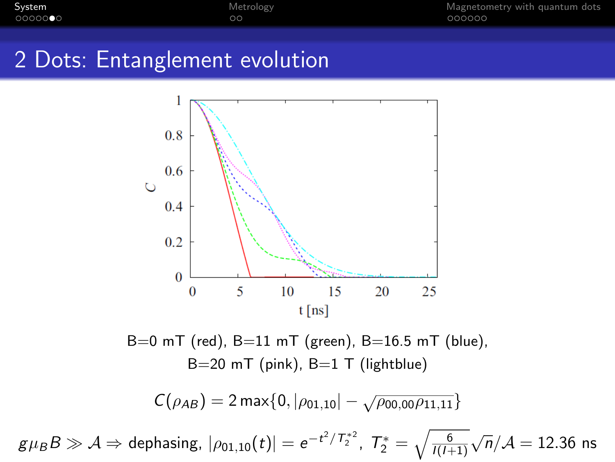$\circ$ 

[System](#page-1-0) [Metrology](#page-9-0) [Magnetometry with quantum dots](#page-11-0)

## 2 Dots: Entanglement evolution



 $B=0$  mT (red),  $B=11$  mT (green),  $B=16.5$  mT (blue),  $B=20$  mT (pink),  $B=1$  T (lightblue)

$$
C(\rho_{AB})=2\max\{0,|\rho_{01,10}|-\sqrt{\rho_{00,00}\rho_{11,11}}\}
$$

 $g\mu_B B \gg \mathcal{A} \Rightarrow$  dephasing,  $|\rho_{01,10}(t)|=e^{-t^2/T_2^{*2}},\; T_2^*=\sqrt{\frac{6}{I(I+1)}}$ *√* n*/A* = 12*.*36 ns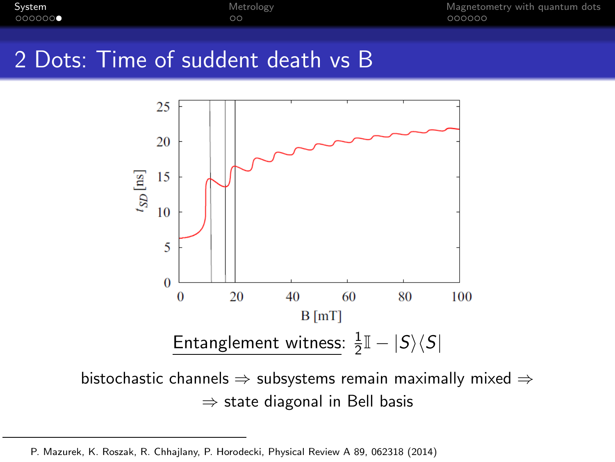$\circ$ 

[System](#page-1-0) [Metrology](#page-9-0) [Magnetometry with quantum dots](#page-11-0)

## 2 Dots: Time of suddent death vs B



bistochastic channels *⇒* subsystems remain maximally mixed *⇒ ⇒* state diagonal in Bell basis

P. Mazurek, K. Roszak, R. Chhajlany, P. Horodecki, Physical Review A 89, 062318 (2014)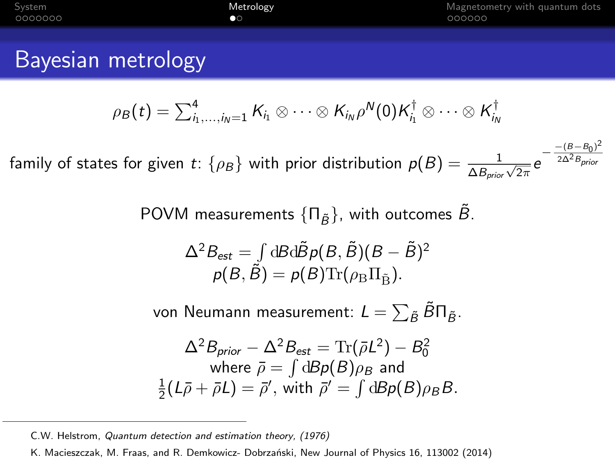| System  | Metrology |
|---------|-----------|
| 0000000 | 00        |

#### Bayesian metrology

$$
\rho_B(t)=\textstyle\sum_{i_1,\dots,i_N=1}^4 K_{i_1}\otimes\dots\otimes K_{i_N}\rho^N(0)K_{i_1}^\dagger\otimes\dots\otimes K_{i_N}^\dagger
$$

 $f$  family of states for given  $t$ :  $\{\rho_B\}$  with prior distribution  $p(B) = \frac{1}{\Delta B_{prior}\sqrt{2\pi}}e^{-\frac{-(B-B_0)}{2\Delta^2 B_{prior}}}$ ) 2

POVM measurements  $\{\Pi_{\tilde{B}}\}$ , with outcomes  $\tilde{B}$ .

$$
\Delta^2 B_{\text{est}} = \int dB d\tilde{B} \rho(B, \tilde{B})(B - \tilde{B})^2
$$

$$
\rho(B, \tilde{B}) = \rho(B) \text{Tr}(\rho_B \Pi_{\tilde{B}}).
$$

von Neumann measurement:  $\mathcal{L} = \sum_{\tilde{B}} \tilde{B} \Pi_{\tilde{B}}.$ 

$$
\Delta^2 B_{prior} - \Delta^2 B_{est} = \text{Tr}(\bar{\rho}L^2) - B_0^2
$$
  
where  $\bar{\rho} = \int dB \rho(B) \rho_B$  and  
 $\frac{1}{2}(L\bar{\rho} + \bar{\rho}L) = \bar{\rho}',$  with  $\bar{\rho}' = \int dB \rho(B) \rho_B B$ .

C.W. Helstrom, *Quantum detection and estimation theory, (1976)*

K. Macieszczak, M. Fraas, and R. Demkowicz- Dobrzański, New Journal of Physics 16, 113002 (2014)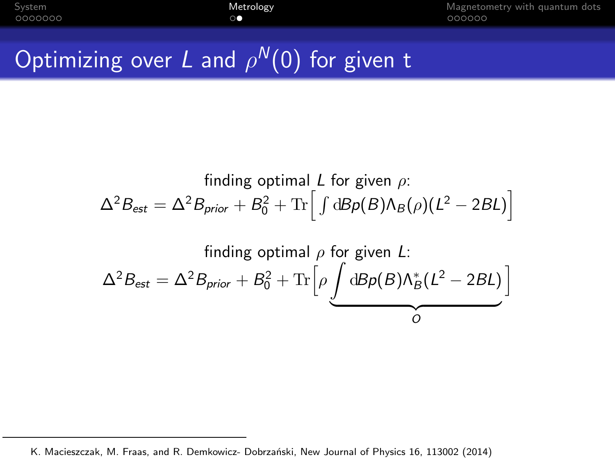<span id="page-9-0"></span>[System](#page-1-0) [Metrology](#page-9-0) [Magnetometry with quantum dots](#page-11-0)

# Optimizing over L and *ρ* <sup>N</sup>(0) for given t

finding optimal *L* for given 
$$
\rho
$$
:  
\n
$$
\Delta^2 B_{\text{est}} = \Delta^2 B_{\text{prior}} + B_0^2 + \text{Tr} \Big[ \int d\mathcal{B} \rho(\mathcal{B}) \Lambda_{\mathcal{B}}(\rho) (L^2 - 2\mathcal{B}L) \Big]
$$
\nfinding optimal  $\rho$  for given *L*:  
\n
$$
\Delta^2 B_{\text{est}} = \Delta^2 B_{\text{prior}} + B_0^2 + \text{Tr} \Big[ \rho \underbrace{\int d\mathcal{B} \rho(\mathcal{B}) \Lambda_{\mathcal{B}}^*(L^2 - 2\mathcal{B}L)}_{O} \Big]
$$

K. Macieszczak, M. Fraas, and R. Demkowicz- Dobrzański, New Journal of Physics 16, 113002 (2014)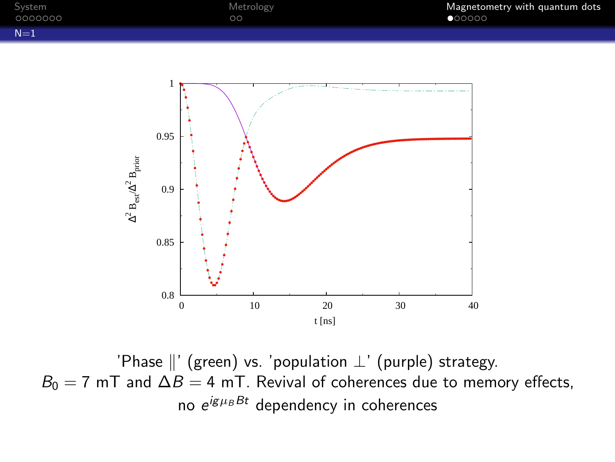<span id="page-10-0"></span>



'Phase *k*' (green) vs. 'population *⊥*' (purple) strategy.  $B_0 = 7$  mT and  $\Delta B = 4$  mT. Revival of coherences due to memory effects, no e<sup>igµBBt</sup> dependency in coherences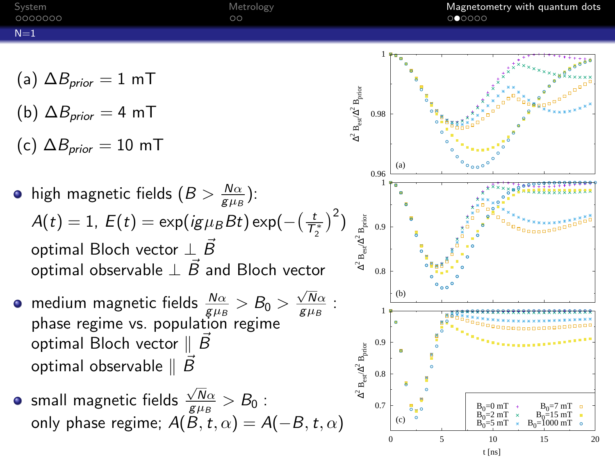<span id="page-11-0"></span>

| System<br>0000000 | Metrology<br>$\circ$ | Magnetometry with quantum dots<br>000000 |
|-------------------|----------------------|------------------------------------------|
| $N=1$             |                      |                                          |
|                   |                      |                                          |

- (a)  $\Delta B_{\text{prior}} = 1 \text{ mT}$
- (b)  $\Delta B_{prior} = 4$  mT
- (c)  $\Delta B_{\text{prior}} = 10 \text{ mT}$
- high magnetic fields  $(B>\frac{N\alpha}{g\mu_B})$ :  $A(t)=1$ ,  $E(t)=\exp (i g \mu_B B t) \exp (-\left(\frac{t}{\mathcal{T}_{\gamma}^*}\right)^2)$ 2 optimal Bloch vector *⊥* B*~* optimal observable *⊥* B*~* and Bloch vector
- $\frac{1}{\beta}$  medium magnetic fields  $\frac{N\alpha}{g\mu_B} > B_0 > \frac{\sqrt{N}\alpha}{g\mu_B}$ phase regime vs. population regime optimal Bloch vector  $\parallel$  B optimal observable  $\parallel$   $\overline{B}$
- small magnetic fields  $\frac{\sqrt{N}\alpha}{g\mu_B}>B_0$  : only phase regime;  $A(B, t, \alpha) = A(-B, t, \alpha)$

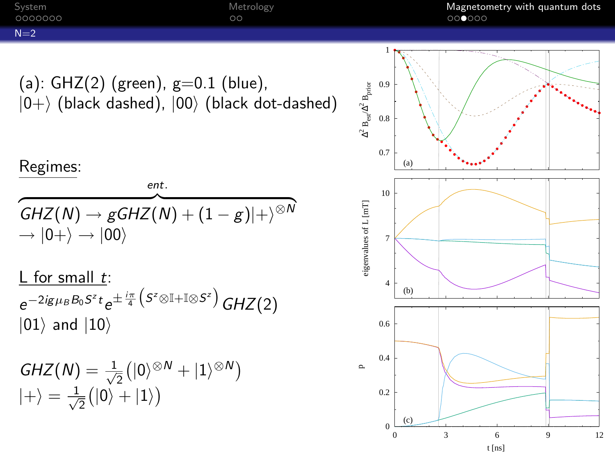<span id="page-12-0"></span>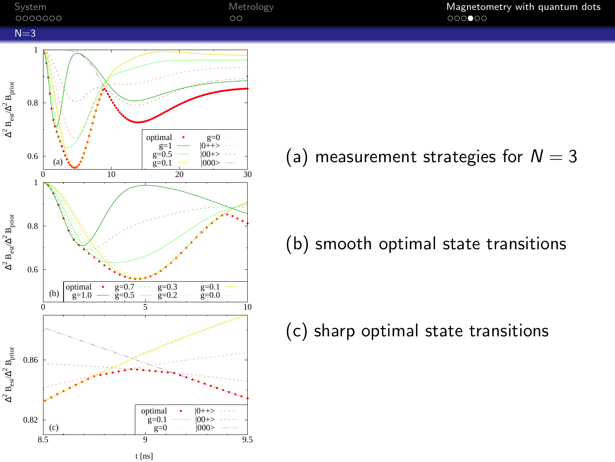<span id="page-13-0"></span>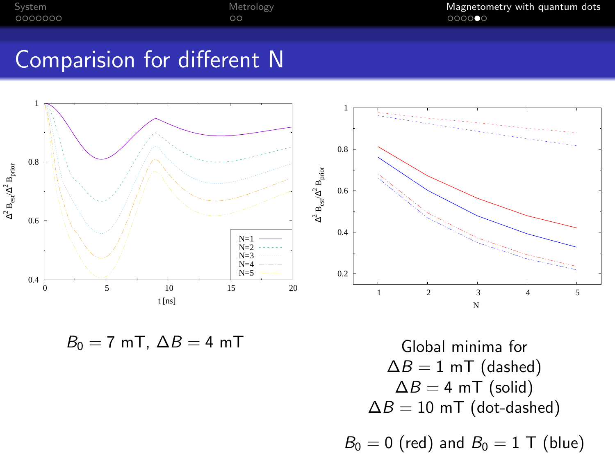[System](#page-1-0) and the [Metrology](#page-9-0) [Magnetometry with quantum dots](#page-11-0)<br>
Magnetometry with quantum dots<br>  $\bigcirc$ 

### Comparision for different N



 $B_0 = 7$  mT,  $\Delta B = 4$  mT

Global minima for  $\Delta B = 1$  mT (dashed)  $\Delta B = 4$  mT (solid)  $\Delta B = 10$  mT (dot-dashed)

 $B_0 = 0$  (red) and  $B_0 = 1$  T (blue)